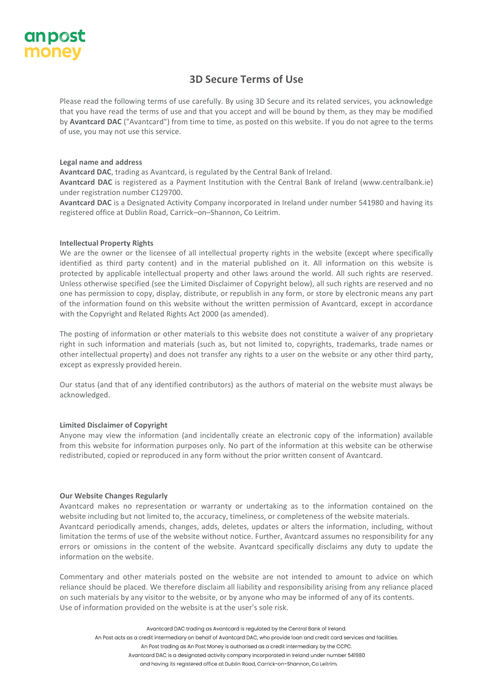

# **3D Secure Terms of Use**

Please read the following terms of use carefully. By using 3D Secure and its related services, you acknowledge that you have read the terms of use and that you accept and will be bound by them, as they may be modified by **Avantcard DAC** ("Avantcard") from time to time, as posted on this website. If you do not agree to the terms of use, you may not use this service.

# **Legal name and address**

**Avantcard DAC**, trading as Avantcard, is regulated by the Central Bank of Ireland.

**Avantcard DAC** is registered as a Payment Institution with the Central Bank of Ireland (www.centralbank.ie) under registration number C129700.

**Avantcard DAC** is a Designated Activity Company incorporated in Ireland under number 541980 and having its registered office at Dublin Road, Carrick–on–Shannon, Co Leitrim.

# **Intellectual Property Rights**

We are the owner or the licensee of all intellectual property rights in the website (except where specifically identified as third party content) and in the material published on it. All information on this website is protected by applicable intellectual property and other laws around the world. All such rights are reserved. Unless otherwise specified (see the Limited Disclaimer of Copyright below), all such rights are reserved and no one has permission to copy, display, distribute, or republish in any form, or store by electronic means any part of the information found on this website without the written permission of Avantcard, except in accordance with the Copyright and Related Rights Act 2000 (as amended).

The posting of information or other materials to this website does not constitute a waiver of any proprietary right in such information and materials (such as, but not limited to, copyrights, trademarks, trade names or other intellectual property) and does not transfer any rights to a user on the website or any other third party, except as expressly provided herein.

Our status (and that of any identified contributors) as the authors of material on the website must always be acknowledged.

# **Limited Disclaimer of Copyright**

Anyone may view the information (and incidentally create an electronic copy of the information) available from this website for information purposes only. No part of the information at this website can be otherwise redistributed, copied or reproduced in any form without the prior written consent of Avantcard.

## **Our Website Changes Regularly**

Avantcard makes no representation or warranty or undertaking as to the information contained on the website including but not limited to, the accuracy, timeliness, or completeness of the website materials. Avantcard periodically amends, changes, adds, deletes, updates or alters the information, including, without limitation the terms of use of the website without notice. Further, Avantcard assumes no responsibility for any errors or omissions in the content of the website. Avantcard specifically disclaims any duty to update the information on the website.

Commentary and other materials posted on the website are not intended to amount to advice on which reliance should be placed. We therefore disclaim all liability and responsibility arising from any reliance placed on such materials by any visitor to the website, or by anyone who may be informed of any of its contents. Use of information provided on the website is at the user's sole risk.

Avantcard DAC trading as Avantcard is regulated by the Central Bank of Ireland. An Post acts as a credit intermediary on behalf of Avantcard DAC, who provide loan and credit card services and facilities. An Post trading as An Post Money is authorised as a credit intermediary by the CCPC. Avantcard DAC is a designated activity company incorporated in Ireland under number 541980

and having its registered office at Dublin Road, Carrick-on-Shannon, Co Leitrim.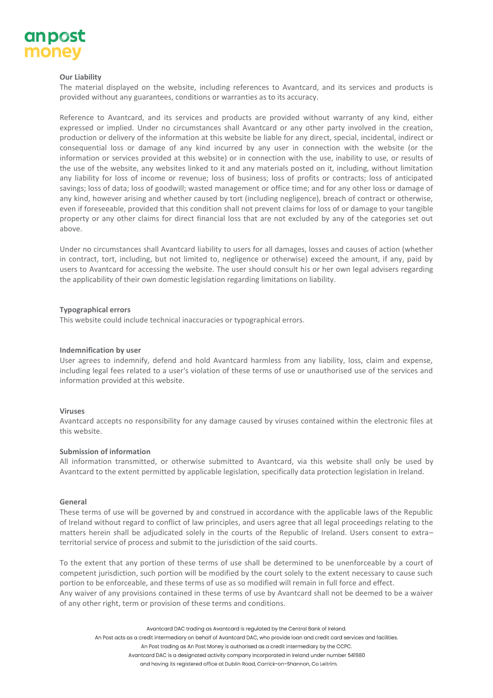

# **Our Liability**

The material displayed on the website, including references to Avantcard, and its services and products is provided without any guarantees, conditions or warranties as to its accuracy.

Reference to Avantcard, and its services and products are provided without warranty of any kind, either expressed or implied. Under no circumstances shall Avantcard or any other party involved in the creation, production or delivery of the information at this website be liable for any direct, special, incidental, indirect or consequential loss or damage of any kind incurred by any user in connection with the website (or the information or services provided at this website) or in connection with the use, inability to use, or results of the use of the website, any websites linked to it and any materials posted on it, including, without limitation any liability for loss of income or revenue; loss of business; loss of profits or contracts; loss of anticipated savings; loss of data; loss of goodwill; wasted management or office time; and for any other loss or damage of any kind, however arising and whether caused by tort (including negligence), breach of contract or otherwise, even if foreseeable, provided that this condition shall not prevent claims for loss of or damage to your tangible property or any other claims for direct financial loss that are not excluded by any of the categories set out above.

Under no circumstances shall Avantcard liability to users for all damages, losses and causes of action (whether in contract, tort, including, but not limited to, negligence or otherwise) exceed the amount, if any, paid by users to Avantcard for accessing the website. The user should consult his or her own legal advisers regarding the applicability of their own domestic legislation regarding limitations on liability.

## **Typographical errors**

This website could include technical inaccuracies or typographical errors.

## **Indemnification by user**

User agrees to indemnify, defend and hold Avantcard harmless from any liability, loss, claim and expense, including legal fees related to a user's violation of these terms of use or unauthorised use of the services and information provided at this website.

## **Viruses**

Avantcard accepts no responsibility for any damage caused by viruses contained within the electronic files at this website.

# **Submission of information**

All information transmitted, or otherwise submitted to Avantcard, via this website shall only be used by Avantcard to the extent permitted by applicable legislation, specifically data protection legislation in Ireland.

## **General**

These terms of use will be governed by and construed in accordance with the applicable laws of the Republic of Ireland without regard to conflict of law principles, and users agree that all legal proceedings relating to the matters herein shall be adjudicated solely in the courts of the Republic of Ireland. Users consent to extra– territorial service of process and submit to the jurisdiction of the said courts.

To the extent that any portion of these terms of use shall be determined to be unenforceable by a court of competent jurisdiction, such portion will be modified by the court solely to the extent necessary to cause such portion to be enforceable, and these terms of use as so modified will remain in full force and effect. Any waiver of any provisions contained in these terms of use by Avantcard shall not be deemed to be a waiver of any other right, term or provision of these terms and conditions.

Avantcard DAC trading as Avantcard is regulated by the Central Bank of Ireland.

An Post acts as a credit intermediary on behalf of Avantcard DAC, who provide loan and credit card services and facilities.

An Post trading as An Post Money is authorised as a credit intermediary by the CCPC.

Avantcard DAC is a designated activity company incorporated in Ireland under number 541980

and having its registered office at Dublin Road, Carrick-on-Shannon, Co Leitrim.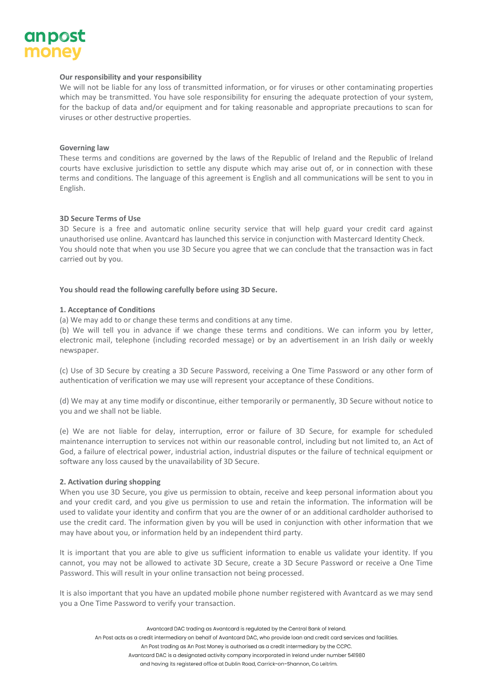

# **Our responsibility and your responsibility**

We will not be liable for any loss of transmitted information, or for viruses or other contaminating properties which may be transmitted. You have sole responsibility for ensuring the adequate protection of your system, for the backup of data and/or equipment and for taking reasonable and appropriate precautions to scan for viruses or other destructive properties.

## **Governing law**

These terms and conditions are governed by the laws of the Republic of Ireland and the Republic of Ireland courts have exclusive jurisdiction to settle any dispute which may arise out of, or in connection with these terms and conditions. The language of this agreement is English and all communications will be sent to you in English.

# **3D Secure Terms of Use**

3D Secure is a free and automatic online security service that will help guard your credit card against unauthorised use online. Avantcard has launched this service in conjunction with Mastercard Identity Check. You should note that when you use 3D Secure you agree that we can conclude that the transaction was in fact carried out by you.

## **You should read the following carefully before using 3D Secure.**

## **1. Acceptance of Conditions**

(a) We may add to or change these terms and conditions at any time.

(b) We will tell you in advance if we change these terms and conditions. We can inform you by letter, electronic mail, telephone (including recorded message) or by an advertisement in an Irish daily or weekly newspaper.

(c) Use of 3D Secure by creating a 3D Secure Password, receiving a One Time Password or any other form of authentication of verification we may use will represent your acceptance of these Conditions.

(d) We may at any time modify or discontinue, either temporarily or permanently, 3D Secure without notice to you and we shall not be liable.

(e) We are not liable for delay, interruption, error or failure of 3D Secure, for example for scheduled maintenance interruption to services not within our reasonable control, including but not limited to, an Act of God, a failure of electrical power, industrial action, industrial disputes or the failure of technical equipment or software any loss caused by the unavailability of 3D Secure.

## **2. Activation during shopping**

When you use 3D Secure, you give us permission to obtain, receive and keep personal information about you and your credit card, and you give us permission to use and retain the information. The information will be used to validate your identity and confirm that you are the owner of or an additional cardholder authorised to use the credit card. The information given by you will be used in conjunction with other information that we may have about you, or information held by an independent third party.

It is important that you are able to give us sufficient information to enable us validate your identity. If you cannot, you may not be allowed to activate 3D Secure, create a 3D Secure Password or receive a One Time Password. This will result in your online transaction not being processed.

It is also important that you have an updated mobile phone number registered with Avantcard as we may send you a One Time Password to verify your transaction.

Avantcard DAC trading as Avantcard is regulated by the Central Bank of Ireland. An Post acts as a credit intermediary on behalf of Avantcard DAC, who provide loan and credit card services and facilities.

An Post trading as An Post Money is authorised as a credit intermediary by the CCPC.

Avantcard DAC is a designated activity company incorporated in Ireland under number 541980

and having its registered office at Dublin Road, Carrick-on-Shannon, Co Leitrim.